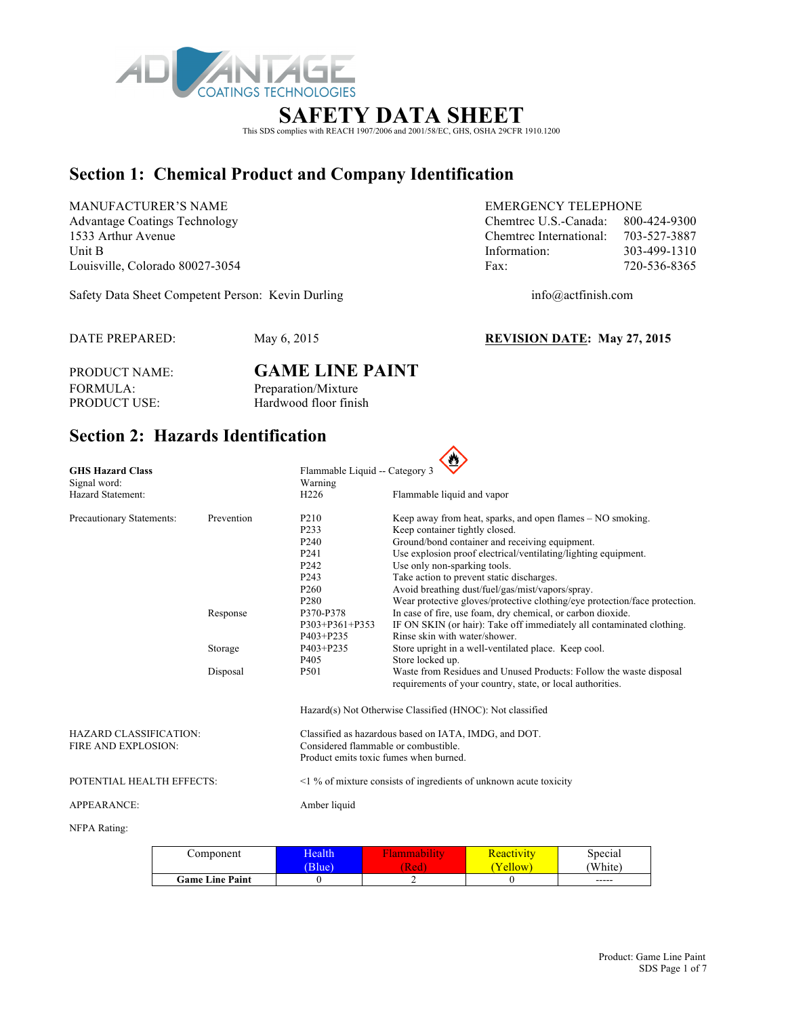

# **SAFETY DATA SHEET**

This SDS complies with REACH 1907/2006 and 2001/58/EC, GHS, OSHA 29CFR 1910.1200

# **Section 1: Chemical Product and Company Identification**

MANUFACTURER'S NAME EMERGENCY TELEPHONE

Safety Data Sheet Competent Person: Kevin Durling info@actfinish.com

Advantage Coatings Technology Chemtrec U.S.-Canada: 800-424-9300 1533 Arthur Avenue Chemtrec International: 703-527-3887 Unit B 103-499-1310 Louisville, Colorado 80027-3054 Fax: 720-536-8365

DATE PREPARED: May 6, 2015 **REVISION DATE: May 27, 2015**

PRODUCT NAME: **GAME LINE PAINT** FORMULA: Preparation/Mixture<br>PRODUCT USE: Hardwood floor finis Hardwood floor finish

# **Section 2: Hazards Identification**

| <b>GHS Hazard Class</b>   |            | Flammable Liquid -- Category 3         |                                                                            |
|---------------------------|------------|----------------------------------------|----------------------------------------------------------------------------|
| Signal word:              |            | Warning                                |                                                                            |
| Hazard Statement:         |            | H <sub>226</sub>                       | Flammable liquid and vapor                                                 |
| Precautionary Statements: | Prevention | P <sub>210</sub>                       | Keep away from heat, sparks, and open flames – NO smoking.                 |
|                           |            | P <sub>2</sub> 33                      | Keep container tightly closed.                                             |
|                           |            | P <sub>240</sub>                       | Ground/bond container and receiving equipment.                             |
|                           |            | P <sub>241</sub>                       | Use explosion proof electrical/ventilating/lighting equipment.             |
|                           |            | P <sub>242</sub>                       | Use only non-sparking tools.                                               |
|                           |            | P <sub>243</sub>                       | Take action to prevent static discharges.                                  |
|                           |            | P <sub>260</sub>                       | Avoid breathing dust/fuel/gas/mist/vapors/spray.                           |
|                           |            | P <sub>280</sub>                       | Wear protective gloves/protective clothing/eye protection/face protection. |
|                           | Response   | P370-P378                              | In case of fire, use foam, dry chemical, or carbon dioxide.                |
|                           |            | P303+P361+P353                         | IF ON SKIN (or hair): Take off immediately all contaminated clothing.      |
|                           |            | P403+P235                              | Rinse skin with water/shower.                                              |
|                           | Storage    | P403+P235                              | Store upright in a well-ventilated place. Keep cool.                       |
|                           |            | P <sub>405</sub>                       | Store locked up.                                                           |
|                           | Disposal   | P501                                   | Waste from Residues and Unused Products: Follow the waste disposal         |
|                           |            |                                        | requirements of your country, state, or local authorities.                 |
|                           |            |                                        | Hazard(s) Not Otherwise Classified (HNOC): Not classified                  |
|                           |            |                                        |                                                                            |
| HAZARD CLASSIFICATION:    |            |                                        | Classified as hazardous based on IATA, IMDG, and DOT.                      |
| FIRE AND EXPLOSION:       |            | Considered flammable or combustible.   |                                                                            |
|                           |            | Product emits toxic fumes when burned. |                                                                            |
| POTENTIAL HEALTH EFFECTS: |            |                                        | $\leq$ 1 % of mixture consists of ingredients of unknown acute toxicity    |
| <b>APPEARANCE:</b>        |            | Amber liquid                           |                                                                            |
| NFPA Rating:              |            |                                        |                                                                            |

| Component              | <b>Health</b><br>$(D \ln a)$ | Red | <u> Reactivity</u><br><b>ellow</b> | Special<br>White |
|------------------------|------------------------------|-----|------------------------------------|------------------|
| <b>Game Line Paint</b> |                              |     |                                    | $- - - - -$      |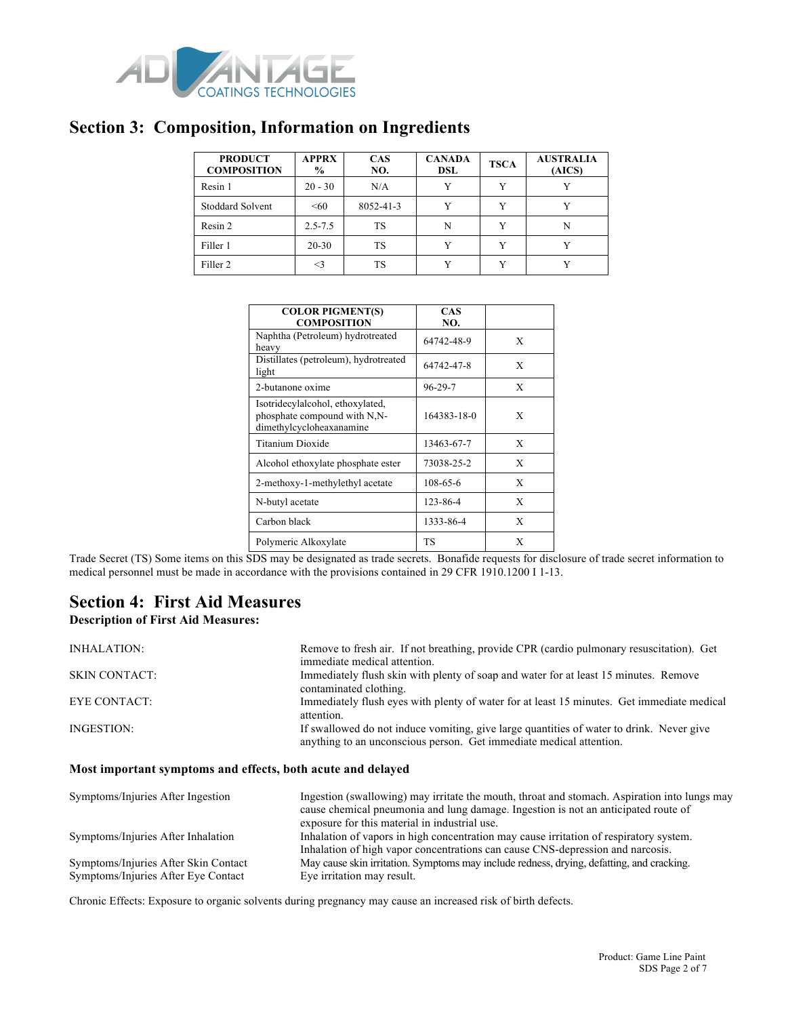

### **Section 3: Composition, Information on Ingredients**

| <b>PRODUCT</b><br><b>COMPOSITION</b> | <b>APPRX</b><br>$\%$ | <b>CAS</b><br>NO. | <b>CANADA</b><br><b>DSL</b> | <b>TSCA</b> | <b>AUSTRALIA</b><br>(AICS) |
|--------------------------------------|----------------------|-------------------|-----------------------------|-------------|----------------------------|
| Resin 1                              | $20 - 30$            | N/A               | v                           | v           |                            |
| <b>Stoddard Solvent</b>              | $\leq 60$            | 8052-41-3         | v                           |             |                            |
| Resin 2                              | $2.5 - 7.5$          | TS                | N                           | v           | N                          |
| Filler 1                             | $20 - 30$            | TS                | v                           | v           |                            |
| Filler <sub>2</sub>                  | <3                   | TS                |                             |             |                            |

| <b>COLOR PIGMENT(S)</b><br><b>COMPOSITION</b>                                                            | <b>CAS</b><br>NO. |   |
|----------------------------------------------------------------------------------------------------------|-------------------|---|
| Naphtha (Petroleum) hydrotreated<br>heavy                                                                | 64742-48-9        | X |
| Distillates (petroleum), hydrotreated<br>light                                                           | 64742-47-8        | X |
| 2-butanone oxime                                                                                         | $96 - 29 - 7$     | X |
| Isotridecylalcohol, ethoxylated,<br>phosphate compound with N <sub>N</sub> -<br>dimethylcycloheaxanamine | 164383-18-0       | X |
| Titanium Dioxide                                                                                         | 13463-67-7        | X |
| Alcohol ethoxylate phosphate ester                                                                       | 73038-25-2        | X |
| 2-methoxy-1-methylethyl acetate                                                                          | 108-65-6          | X |
| N-butyl acetate                                                                                          | 123-86-4          | X |
| Carbon black                                                                                             | 1333-86-4         | X |
| Polymeric Alkoxylate                                                                                     | TS                | X |

Trade Secret (TS) Some items on this SDS may be designated as trade secrets. Bonafide requests for disclosure of trade secret information to medical personnel must be made in accordance with the provisions contained in 29 CFR 1910.1200 I 1-13.

### **Section 4: First Aid Measures**

#### **Description of First Aid Measures:**

| INHALATION:          | Remove to fresh air. If not breathing, provide CPR (cardio pulmonary resuscitation). Get<br>immediate medical attention.                                        |
|----------------------|-----------------------------------------------------------------------------------------------------------------------------------------------------------------|
| <b>SKIN CONTACT:</b> | Immediately flush skin with plenty of soap and water for at least 15 minutes. Remove<br>contaminated clothing.                                                  |
| EYE CONTACT:         | Immediately flush eyes with plenty of water for at least 15 minutes. Get immediate medical<br>attention.                                                        |
| INGESTION:           | If swallowed do not induce vomiting, give large quantities of water to drink. Never give<br>anything to an unconscious person. Get immediate medical attention. |

#### **Most important symptoms and effects, both acute and delayed**

| Symptoms/Injuries After Ingestion                                           | Ingestion (swallowing) may irritate the mouth, throat and stomach. Aspiration into lungs may<br>cause chemical pneumonia and lung damage. Ingestion is not an anticipated route of<br>exposure for this material in industrial use. |
|-----------------------------------------------------------------------------|-------------------------------------------------------------------------------------------------------------------------------------------------------------------------------------------------------------------------------------|
| Symptoms/Injuries After Inhalation                                          | Inhalation of vapors in high concentration may cause irritation of respiratory system.<br>Inhalation of high vapor concentrations can cause CNS-depression and narcosis.                                                            |
| Symptoms/Injuries After Skin Contact<br>Symptoms/Injuries After Eye Contact | May cause skin irritation. Symptoms may include redness, drying, defatting, and cracking.<br>Eye irritation may result.                                                                                                             |

Chronic Effects: Exposure to organic solvents during pregnancy may cause an increased risk of birth defects.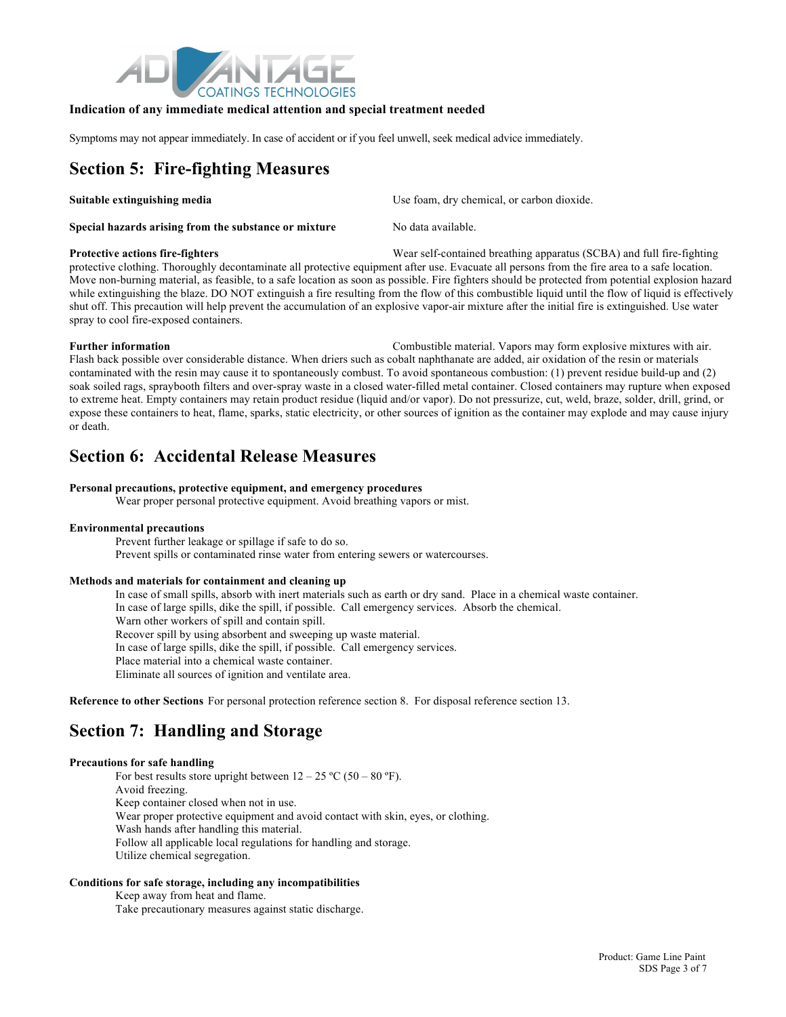

#### **Indication of any immediate medical attention and special treatment needed**

Symptoms may not appear immediately. In case of accident or if you feel unwell, seek medical advice immediately.

# **Section 5: Fire-fighting Measures**

| Suitable extinguishing media                          | Use foam, dry chemical, or carbon dioxide. |
|-------------------------------------------------------|--------------------------------------------|
| Special hazards arising from the substance or mixture | No data available.                         |

**Protective actions fire-fighters** Wear self-contained breathing apparatus (SCBA) and full fire-fighting protective clothing. Thoroughly decontaminate all protective equipment after use. Evacuate all persons from the fire area to a safe location. Move non-burning material, as feasible, to a safe location as soon as possible. Fire fighters should be protected from potential explosion hazard while extinguishing the blaze. DO NOT extinguish a fire resulting from the flow of this combustible liquid until the flow of liquid is effectively shut off. This precaution will help prevent the accumulation of an explosive vapor-air mixture after the initial fire is extinguished. Use water spray to cool fire-exposed containers.

**Further information** Combustible material. Vapors may form explosive mixtures with air. Flash back possible over considerable distance. When driers such as cobalt naphthanate are added, air oxidation of the resin or materials contaminated with the resin may cause it to spontaneously combust. To avoid spontaneous combustion: (1) prevent residue build-up and (2) soak soiled rags, spraybooth filters and over-spray waste in a closed water-filled metal container. Closed containers may rupture when exposed to extreme heat. Empty containers may retain product residue (liquid and/or vapor). Do not pressurize, cut, weld, braze, solder, drill, grind, or expose these containers to heat, flame, sparks, static electricity, or other sources of ignition as the container may explode and may cause injury or death.

### **Section 6: Accidental Release Measures**

#### **Personal precautions, protective equipment, and emergency procedures**

Wear proper personal protective equipment. Avoid breathing vapors or mist.

#### **Environmental precautions**

Prevent further leakage or spillage if safe to do so. Prevent spills or contaminated rinse water from entering sewers or watercourses.

#### **Methods and materials for containment and cleaning up**

In case of small spills, absorb with inert materials such as earth or dry sand. Place in a chemical waste container. In case of large spills, dike the spill, if possible. Call emergency services. Absorb the chemical. Warn other workers of spill and contain spill. Recover spill by using absorbent and sweeping up waste material. In case of large spills, dike the spill, if possible. Call emergency services. Place material into a chemical waste container. Eliminate all sources of ignition and ventilate area.

**Reference to other Sections** For personal protection reference section 8. For disposal reference section 13.

### **Section 7: Handling and Storage**

#### **Precautions for safe handling**

For best results store upright between  $12 - 25$  °C (50 – 80 °F). Avoid freezing. Keep container closed when not in use. Wear proper protective equipment and avoid contact with skin, eyes, or clothing. Wash hands after handling this material. Follow all applicable local regulations for handling and storage. Utilize chemical segregation.

#### **Conditions for safe storage, including any incompatibilities**

Keep away from heat and flame.

Take precautionary measures against static discharge.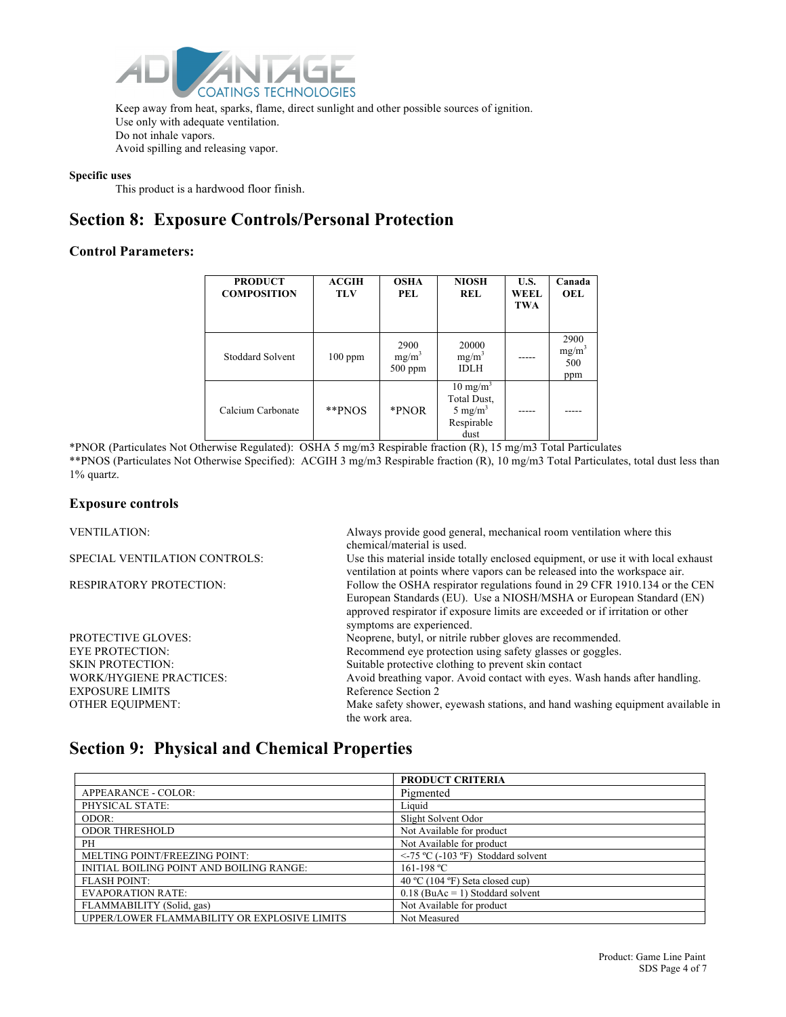

Keep away from heat, sparks, flame, direct sunlight and other possible sources of ignition. Use only with adequate ventilation. Do not inhale vapors. Avoid spilling and releasing vapor.

#### **Specific uses**

This product is a hardwood floor finish.

### **Section 8: Exposure Controls/Personal Protection**

#### **Control Parameters:**

| <b>PRODUCT</b><br><b>COMPOSITION</b> | <b>ACGIH</b><br><b>TLV</b> | <b>OSHA</b><br>PEL.           | <b>NIOSH</b><br><b>REL</b>                                                      | U.S.<br>WEEL.<br><b>TWA</b> | Canada<br>OEL                  |
|--------------------------------------|----------------------------|-------------------------------|---------------------------------------------------------------------------------|-----------------------------|--------------------------------|
| <b>Stoddard Solvent</b>              | $100$ ppm                  | 2900<br>$mg/m^3$<br>$500$ ppm | 20000<br>$mg/m^3$<br><b>IDLH</b>                                                |                             | 2900<br>$mg/m^3$<br>500<br>ppm |
| Calcium Carbonate                    | **PNOS                     | *PNOR                         | $10 \text{ mg/m}^3$<br>Total Dust,<br>5 mg/m <sup>3</sup><br>Respirable<br>dust |                             |                                |

\*PNOR (Particulates Not Otherwise Regulated): OSHA 5 mg/m3 Respirable fraction (R), 15 mg/m3 Total Particulates \*\*PNOS (Particulates Not Otherwise Specified): ACGIH 3 mg/m3 Respirable fraction (R), 10 mg/m3 Total Particulates, total dust less than 1% quartz.

#### **Exposure controls**

EXPOSURE LIMITS Reference Section 2

VENTILATION: Always provide good general, mechanical room ventilation where this chemical/material is used. SPECIAL VENTILATION CONTROLS: Use this material inside totally enclosed equipment, or use it with local exhaust ventilation at points where vapors can be released into the workspace air. RESPIRATORY PROTECTION: Follow the OSHA respirator regulations found in 29 CFR 1910.134 or the CEN European Standards (EU). Use a NIOSH/MSHA or European Standard (EN) approved respirator if exposure limits are exceeded or if irritation or other symptoms are experienced. PROTECTIVE GLOVES: Neoprene, butyl, or nitrile rubber gloves are recommended. EYE PROTECTION: Recommend eve protection using safety glasses or goggles. SKIN PROTECTION: Suitable protective clothing to prevent skin contact WORK/HYGIENE PRACTICES: Avoid breathing vapor. Avoid contact with eyes. Wash hands after handling. OTHER EQUIPMENT: Make safety shower, eyewash stations, and hand washing equipment available in

### **Section 9: Physical and Chemical Properties**

|                                              | <b>PRODUCT CRITERIA</b>                 |
|----------------------------------------------|-----------------------------------------|
| APPEARANCE - COLOR:                          | Pigmented                               |
| PHYSICAL STATE:                              | Liquid                                  |
| ODOR:                                        | Slight Solvent Odor                     |
| <b>ODOR THRESHOLD</b>                        | Not Available for product               |
| PH                                           | Not Available for product               |
| MELTING POINT/FREEZING POINT:                | $\le$ -75 °C (-103 °F) Stoddard solvent |
| INITIAL BOILING POINT AND BOILING RANGE:     | 161-198 °C                              |
| <b>FLASH POINT:</b>                          | 40 °C (104 °F) Seta closed cup)         |
| <b>EVAPORATION RATE:</b>                     | $0.18$ (BuAc = 1) Stoddard solvent      |
| FLAMMABILITY (Solid, gas)                    | Not Available for product               |
| UPPER/LOWER FLAMMABILITY OR EXPLOSIVE LIMITS | Not Measured                            |

the work area.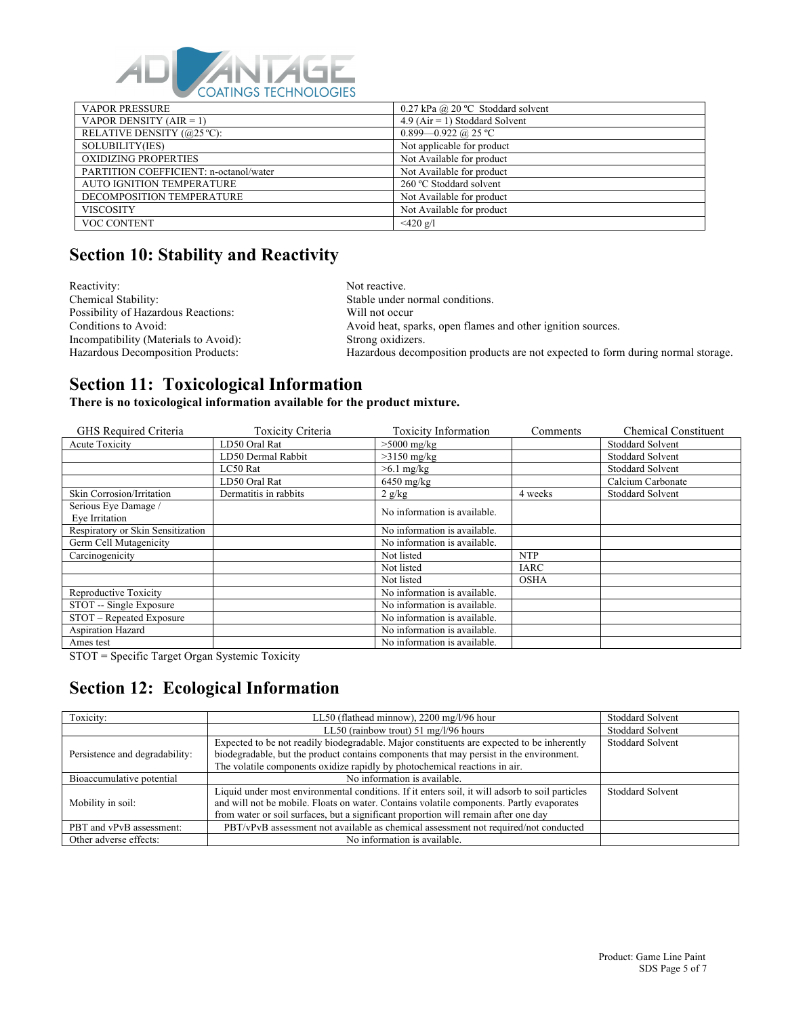

| <b>VAPOR PRESSURE</b>                  | 0.27 kPa @ 20 °C Stoddard solvent |
|----------------------------------------|-----------------------------------|
| VAPOR DENSITY $(AIR = 1)$              | $4.9$ (Air = 1) Stoddard Solvent  |
| RELATIVE DENSITY (@25 °C):             | $0.899 - 0.922$ @ 25 °C           |
| SOLUBILITY(IES)                        | Not applicable for product        |
| <b>OXIDIZING PROPERTIES</b>            | Not Available for product         |
| PARTITION COEFFICIENT: n-octanol/water | Not Available for product         |
| AUTO IGNITION TEMPERATURE              | 260 °C Stoddard solvent           |
| DECOMPOSITION TEMPERATURE              | Not Available for product         |
| <b>VISCOSITY</b>                       | Not Available for product         |
| VOC CONTENT                            | $<$ 420 g/l                       |

# **Section 10: Stability and Reactivity**

Reactivity: Not reactive.<br>
Chemical Stability: Stable under Possibility of Hazardous Reactions: Will not occur Incompatibility (Materials to Avoid):

Stable under normal conditions. Conditions to Avoid: Avoid heat, sparks, open flames and other ignition sources.<br>
Incompatibility (Materials to Avoid): Strong oxidizers. Hazardous Decomposition Products: Hazardous decomposition products are not expected to form during normal storage.

### **Section 11: Toxicological Information**

**There is no toxicological information available for the product mixture.**

| GHS Required Criteria                  | Toxicity Criteria     | <b>Toxicity Information</b>  | Comments    | <b>Chemical Constituent</b> |
|----------------------------------------|-----------------------|------------------------------|-------------|-----------------------------|
| <b>Acute Toxicity</b>                  | LD50 Oral Rat         | $>5000$ mg/kg                |             | <b>Stoddard Solvent</b>     |
|                                        | LD50 Dermal Rabbit    | $>3150$ mg/kg                |             | <b>Stoddard Solvent</b>     |
|                                        | LC50 Rat              | $>6.1$ mg/kg                 |             | <b>Stoddard Solvent</b>     |
|                                        | LD50 Oral Rat         | $6450$ mg/kg                 |             | Calcium Carbonate           |
| Skin Corrosion/Irritation              | Dermatitis in rabbits | 2 g/kg                       | 4 weeks     | <b>Stoddard Solvent</b>     |
| Serious Eye Damage /<br>Eye Irritation |                       | No information is available. |             |                             |
| Respiratory or Skin Sensitization      |                       | No information is available. |             |                             |
| Germ Cell Mutagenicity                 |                       | No information is available. |             |                             |
| Carcinogenicity                        |                       | Not listed                   | <b>NTP</b>  |                             |
|                                        |                       | Not listed                   | <b>IARC</b> |                             |
|                                        |                       | Not listed                   | <b>OSHA</b> |                             |
| Reproductive Toxicity                  |                       | No information is available. |             |                             |
| STOT -- Single Exposure                |                       | No information is available. |             |                             |
| STOT - Repeated Exposure               |                       | No information is available. |             |                             |
| <b>Aspiration Hazard</b>               |                       | No information is available. |             |                             |
| Ames test                              |                       | No information is available. |             |                             |

STOT = Specific Target Organ Systemic Toxicity

# **Section 12: Ecological Information**

| Toxicity:                      | LL50 (flathead minnow), 2200 mg/l/96 hour                                                                                                                                       | <b>Stoddard Solvent</b> |
|--------------------------------|---------------------------------------------------------------------------------------------------------------------------------------------------------------------------------|-------------------------|
|                                | LL50 (rainbow trout) $51 \text{ mg}/\frac{1}{96}$ hours                                                                                                                         | <b>Stoddard Solvent</b> |
|                                | Expected to be not readily biodegradable. Major constituents are expected to be inherently                                                                                      | <b>Stoddard Solvent</b> |
| Persistence and degradability: | biodegradable, but the product contains components that may persist in the environment.                                                                                         |                         |
|                                | The volatile components oxidize rapidly by photochemical reactions in air.                                                                                                      |                         |
| Bioaccumulative potential      | No information is available.                                                                                                                                                    |                         |
|                                | Liquid under most environmental conditions. If it enters soil, it will adsorb to soil particles                                                                                 | Stoddard Solvent        |
| Mobility in soil:              | and will not be mobile. Floats on water. Contains volatile components. Partly evaporates<br>from water or soil surfaces, but a significant proportion will remain after one day |                         |
|                                |                                                                                                                                                                                 |                         |
| PBT and vPvB assessment:       | PBT/vPvB assessment not available as chemical assessment not required/not conducted                                                                                             |                         |
| Other adverse effects:         | No information is available.                                                                                                                                                    |                         |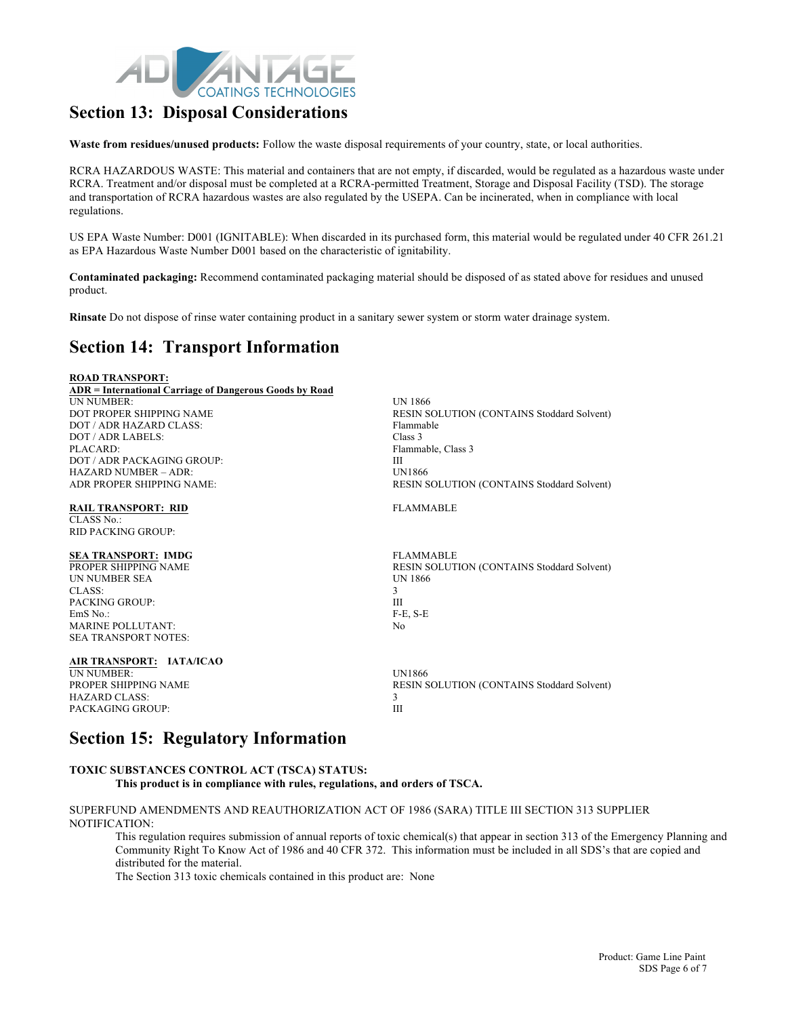

### **Section 13: Disposal Considerations**

**Waste from residues/unused products:** Follow the waste disposal requirements of your country, state, or local authorities.

RCRA HAZARDOUS WASTE: This material and containers that are not empty, if discarded, would be regulated as a hazardous waste under RCRA. Treatment and/or disposal must be completed at a RCRA-permitted Treatment, Storage and Disposal Facility (TSD). The storage and transportation of RCRA hazardous wastes are also regulated by the USEPA. Can be incinerated, when in compliance with local regulations.

US EPA Waste Number: D001 (IGNITABLE): When discarded in its purchased form, this material would be regulated under 40 CFR 261.21 as EPA Hazardous Waste Number D001 based on the characteristic of ignitability.

**Contaminated packaging:** Recommend contaminated packaging material should be disposed of as stated above for residues and unused product.

**Rinsate** Do not dispose of rinse water containing product in a sanitary sewer system or storm water drainage system.

### **Section 14: Transport Information**

| <b>ROAD TRANSPORT:</b>                                  |                                                   |
|---------------------------------------------------------|---------------------------------------------------|
| ADR = International Carriage of Dangerous Goods by Road |                                                   |
| <b>UN NUMBER:</b>                                       | <b>UN 1866</b>                                    |
| DOT PROPER SHIPPING NAME                                | RESIN SOLUTION (CONTAINS Stoddard Solvent)        |
| DOT / ADR HAZARD CLASS:                                 | Flammable                                         |
| DOT / ADR LABELS:                                       | Class 3                                           |
| PLACARD:                                                | Flammable, Class 3                                |
| DOT / ADR PACK AGING GROUP:                             | Ш                                                 |
| $HAZARD$ NUMBER $-$ ADR:                                | <b>UN1866</b>                                     |
| ADR PROPER SHIPPING NAME:                               | <b>RESIN SOLUTION (CONTAINS Stoddard Solvent)</b> |
| <b>RAIL TRANSPORT: RID</b>                              | <b>FLAMMABLE</b>                                  |
| CLASS No.:                                              |                                                   |
| <b>RID PACKING GROUP:</b>                               |                                                   |
| <b>SEA TRANSPORT: IMDG</b>                              | <b>FLAMMABLE</b>                                  |
| PROPER SHIPPING NAME                                    | RESIN SOLUTION (CONTAINS Stoddard Solvent)        |
| <b>IJN NUMBER SEA</b>                                   | <b>UN 1866</b>                                    |
| CLASS:                                                  | 3                                                 |
| <b>PACKING GROUP:</b>                                   | Ш                                                 |
| EmS No.:                                                | $F-E$ , $S-E$                                     |
| <b>MARINE POLLUTANT:</b>                                | N <sub>0</sub>                                    |
| <b>SEA TRANSPORT NOTES:</b>                             |                                                   |
| AIR TRANSPORT: IATA/ICAO                                |                                                   |
| <b>UN NUMBER:</b>                                       | <b>UN1866</b>                                     |
| PROPER SHIPPING NAME                                    | RESIN SOLUTION (CONTAINS Stoddard Solvent)        |
| <b>HAZARD CLASS:</b>                                    | 3                                                 |
| PACKAGING GROUP:                                        | Ш                                                 |

### **Section 15: Regulatory Information**

#### **TOXIC SUBSTANCES CONTROL ACT (TSCA) STATUS: This product is in compliance with rules, regulations, and orders of TSCA.**

SUPERFUND AMENDMENTS AND REAUTHORIZATION ACT OF 1986 (SARA) TITLE III SECTION 313 SUPPLIER NOTIFICATION:

This regulation requires submission of annual reports of toxic chemical(s) that appear in section 313 of the Emergency Planning and Community Right To Know Act of 1986 and 40 CFR 372. This information must be included in all SDS's that are copied and distributed for the material.

The Section 313 toxic chemicals contained in this product are: None